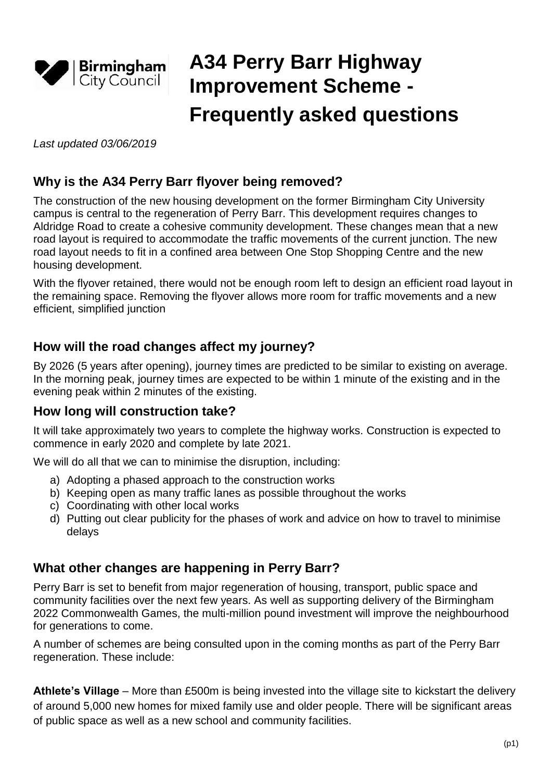

# **A34 Perry Barr Highway Improvement Scheme - Frequently asked questions**

*Last updated 03/06/2019*

## **Why is the A34 Perry Barr flyover being removed?**

The construction of the new housing development on the former Birmingham City University campus is central to the regeneration of Perry Barr. This development requires changes to Aldridge Road to create a cohesive community development. These changes mean that a new road layout is required to accommodate the traffic movements of the current junction. The new road layout needs to fit in a confined area between One Stop Shopping Centre and the new housing development.

With the flyover retained, there would not be enough room left to design an efficient road layout in the remaining space. Removing the flyover allows more room for traffic movements and a new efficient, simplified junction

## **How will the road changes affect my journey?**

By 2026 (5 years after opening), journey times are predicted to be similar to existing on average. In the morning peak, journey times are expected to be within 1 minute of the existing and in the evening peak within 2 minutes of the existing.

#### **How long will construction take?**

It will take approximately two years to complete the highway works. Construction is expected to commence in early 2020 and complete by late 2021.

We will do all that we can to minimise the disruption, including:

- a) Adopting a phased approach to the construction works
- b) Keeping open as many traffic lanes as possible throughout the works
- c) Coordinating with other local works
- d) Putting out clear publicity for the phases of work and advice on how to travel to minimise delays

## **What other changes are happening in Perry Barr?**

Perry Barr is set to benefit from major regeneration of housing, transport, public space and community facilities over the next few years. As well as supporting delivery of the Birmingham 2022 Commonwealth Games, the multi-million pound investment will improve the neighbourhood for generations to come.

A number of schemes are being consulted upon in the coming months as part of the Perry Barr regeneration. These include:

**Athlete's Village** – More than £500m is being invested into the village site to kickstart the delivery of around 5,000 new homes for mixed family use and older people. There will be significant areas of public space as well as a new school and community facilities.